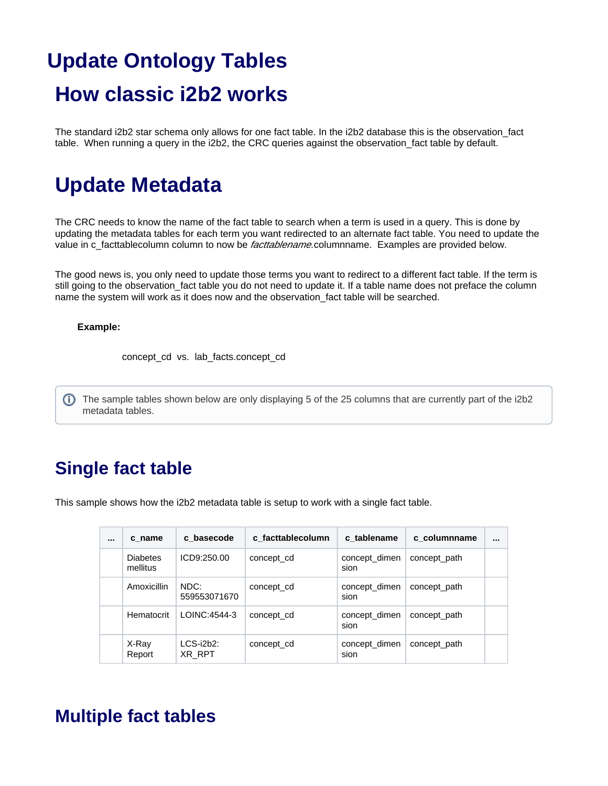# **Update Ontology Tables How classic i2b2 works**

The standard i2b2 star schema only allows for one fact table. In the i2b2 database this is the observation\_fact table. When running a query in the i2b2, the CRC queries against the observation fact table by default.

# **Update Metadata**

The CRC needs to know the name of the fact table to search when a term is used in a query. This is done by updating the metadata tables for each term you want redirected to an alternate fact table. You need to update the value in c\_facttablecolumn column to now be *facttablename*.columnname. Examples are provided below.

The good news is, you only need to update those terms you want to redirect to a different fact table. If the term is still going to the observation fact table you do not need to update it. If a table name does not preface the column name the system will work as it does now and the observation\_fact table will be searched.

#### **Example:**

concept\_cd vs. lab\_facts.concept\_cd

The sample tables shown below are only displaying 5 of the 25 columns that are currently part of the i2b2 metadata tables.

## **Single fact table**

This sample shows how the i2b2 metadata table is setup to work with a single fact table.

| $\cdots$ | c name                      | c basecode             | c facttablecolumn | c tablename           | c columnname |  |
|----------|-----------------------------|------------------------|-------------------|-----------------------|--------------|--|
|          | <b>Diabetes</b><br>mellitus | ICD9:250.00            | concept_cd        | concept_dimen<br>sion | concept_path |  |
|          | Amoxicillin                 | NDC:<br>559553071670   | concept cd        | concept_dimen<br>sion | concept path |  |
|          | Hematocrit                  | LOINC: 4544-3          | concept cd        | concept_dimen<br>sion | concept path |  |
|          | X-Ray<br>Report             | $LCS$ -i2b2:<br>XR RPT | concept cd        | concept dimen<br>sion | concept path |  |

### **Multiple fact tables**